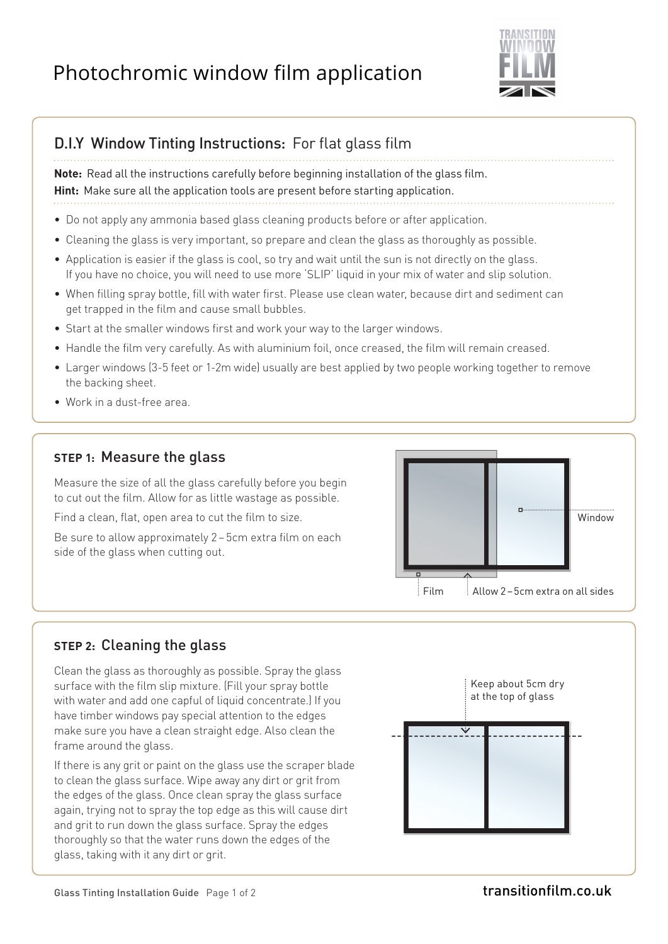# Photochromic window film application



## **D.I.Y Window Tinting Instructions: For flat glass film**

**Note:** Read all the instructions carefully before beginning installation of the glass film. **Hint:** Make sure all the application tools are present before starting application.

- Do not apply any ammonia based glass cleaning products before or after application.
- Cleaning the glass is very important, so prepare and clean the glass as thoroughly as possible.
- Application is easier if the glass is cool, so try and wait until the sun is not directly on the glass. If you have no choice, you will need to use more 'SLIP' liquid in your mix of water and slip solution.
- When filling spray bottle, fill with water first. Please use clean water, because dirt and sediment can get trapped in the film and cause small bubbles.
- Start at the smaller windows first and work your way to the larger windows.
- Handle the film very carefully. As with aluminium foil, once creased, the film will remain creased.
- Larger windows (3-5 feet or 1-2m wide) usually are best applied by two people working together to remove the backing sheet.
- Work in a dust-free area.

#### **STEP 1:** Measure the glass

Measure the size of all the glass carefully before you begin to cut out the film. Allow for as little wastage as possible.

Find a clean, flat, open area to cut the film to size.

Be sure to allow approximately 2-5cm extra film on each side of the glass when cutting out.



#### **STEP 2:** Cleaning the glass

Clean the glass as thoroughly as possible. Spray the glass surface with the film slip mixture. (Fill your spray bottle with water and add one capful of liquid concentrate.) If you have timber windows pay special attention to the edges make sure you have a clean straight edge. Also clean the frame around the glass.

If there is any grit or paint on the glass use the scraper blade to clean the glass surface. Wipe away any dirt or grit from the edges of the glass. Once clean spray the glass surface again, trying not to spray the top edge as this will cause dirt and grit to run down the glass surface. Spray the edges thoroughly so that the water runs down the edges of the glass, taking with it any dirt or grit.